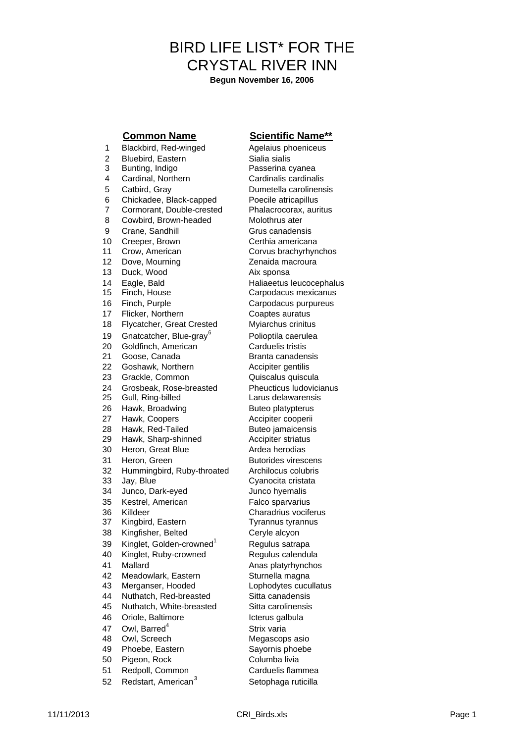# BIRD LIFE LIST\* FOR THE CRYSTAL RIVER INN

**Begun November 16, 2006**

1 Blackbird, Red-winged Agelaius phoeniceus 2 Bluebird, Eastern Sialia sialis 3 Bunting, Indigo Passerina cyanea 4 Cardinal, Northern Cardinalis cardinalis 5 Catbird, Gray Dumetella carolinensis 6 Chickadee, Black-capped Poecile atricapillus<br>7 Cormorant, Double-crested Phalacrocorax, auritus Cormorant, Double-crested 8 Cowbird, Brown-headed Molothrus ater 9 Crane, Sandhill Grus canadensis 10 Creeper, Brown Certhia americana<br>11 Crow. American Corvus brachyrhyn Crow, American Corvus brachyrhynchos 12 Dove, Mourning **2**enaida macroura 13 Duck, Wood Aix sponsa 14 Eagle, Bald Haliaeetus leucocephalus 15 Finch, House Carpodacus mexicanus 16 Finch, Purple **Carpodacus purpureus** 17 Flicker, Northern Coaptes auratus 18 Flycatcher, Great Crested Myiarchus crinitus 19 Gnatcatcher, Blue-gray<sup>6</sup> 20 Goldfinch, American Carduelis tristis 21 Goose, Canada Branta canadensis 22 Goshawk, Northern **Accipiter gentilis** 23 Grackle, Common Quiscalus quiscula 24 Grosbeak, Rose-breasted Pheucticus Iudovicianus 25 Gull, Ring-billed Larus delawarensis 26 Hawk, Broadwing Buteo platypterus 27 Hawk, Coopers **Accipiter cooperii** 28 Hawk, Red-Tailed Buteo jamaicensis<br>29 Hawk, Sharp-shinned Accipiter striatus 29 Hawk, Sharp-shinned 30 Heron, Great Blue **Ardea herodias** 31 Heron, Green Butorides virescens 32 Hummingbird, Ruby-throated Archilocus colubris 33 Jay, Blue Cyanocita cristata 34 Junco, Dark-eyed Junco hyemalis 35 Kestrel, American Falco sparvarius 36 Killdeer Charadrius vociferus 37 Kingbird, Eastern Tyrannus tyrannus 38 Kingfisher, Belted Ceryle alcyon 39 Kinglet, Golden-crowned<sup>1</sup> Regulus satrapa 40 Kinglet, Ruby-crowned Regulus calendula 41 Mallard **Anas platyrhynchos** 42 Meadowlark, Eastern Sturnella magna 43 Merganser, Hooded Lophodytes cucullatus 44 Nuthatch, Red-breasted Sitta canadensis 45 Nuthatch, White-breasted Sitta carolinensis 46 Oriole, Baltimore **Internal and Science Internal Action** 47 Owl, Barred<sup>4</sup> 48 Owl, Screech Megascops asio 49 Phoebe, Eastern Sayornis phoebe 50 Pigeon, Rock Columba livia

- 
- 52 Redstart, American<sup>3</sup>

### **Common Name Scientific Name\*\***

Polioptila caerulea Strix varia 51 Redpoll, Common Carduelis flammea Setophaga ruticilla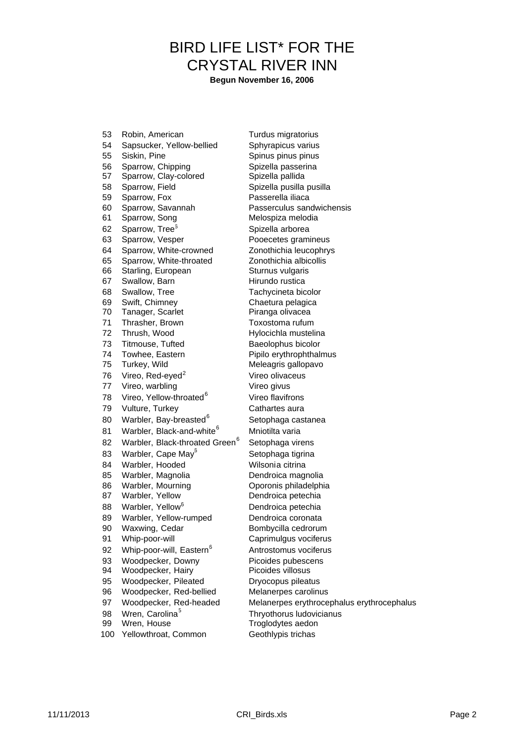## BIRD LIFE LIST\* FOR THE CRYSTAL RIVER INN

**Begun November 16, 2006**

53 Robin, American Turdus migratorius 54 Sapsucker, Yellow-bellied Sphyrapicus varius 55 Siskin, Pine Spinus pinus pinus pinus 56 Sparrow, Chipping Spizella passerina 57 Sparrow, Clay-colored Spizella pallida 58 Sparrow, Field Spizella pusilla pusilla 59 Sparrow, Fox Passerella iliaca 60 Sparrow, Savannah Passerculus sandwichensis 61 Sparrow, Song Melospiza melodia 62 Sparrow, Tree<sup>6</sup> Spizella arborea 63 Sparrow, Vesper Pooecetes gramineus 64 Sparrow, White-crowned Zonothichia leucophrys 65 Sparrow, White-throated Zonothichia albicollis 66 Starling, European Sturnus vulgaris 67 Swallow, Barn **Hirundo** rustica 68 Swallow, Tree Tachycineta bicolor 69 Swift, Chimney Chaetura pelagica 70 Tanager, Scarlet Piranga olivacea 71 Thrasher, Brown Toxostoma rufum 72 Thrush, Wood Hylocichla mustelina 73 Titmouse, Tufted Baeolophus bicolor 74 Towhee, Eastern Pipilo erythrophthalmus 75 Turkey, Wild Meleagris gallopavo 76 Vireo, Red-eyed<sup>2</sup> Vireo olivaceus 77 Vireo, warbling van Vireo givus 78 Vireo, Yellow-throated<sup>6</sup> 79 Vulture, Turkey Cathartes aura 80 Warbler, Bay-breasted<sup>6</sup> 81 Warbler, Black-and-white<sup>6</sup> Mniotilta varia 82 Warbler, Black-throated Green<sup>6</sup> 83 Warbler, Cape May<sup>5</sup> 84 Warbler, Hooded Wilsonia citrina 85 Warbler, Magnolia Dendroica magnolia 86 Warbler, Mourning Oporonis philadelphia 87 Warbler, Yellow Dendroica petechia 88 Warbler, Yellow<sup>6</sup> Dendroica petechia 89 Warbler, Yellow-rumped Dendroica coronata 90 Waxwing, Cedar Bombycilla cedrorum 91 Whip-poor-will Caprimulgus vociferus 92 Whip-poor-will, Eastern<sup>6</sup> 93 Woodpecker, Downy Picoides pubescens 94 Woodpecker, Hairy Picoides villosus 95 Woodpecker, Pileated Dryocopus pileatus 96 Woodpecker, Red-bellied Melanerpes carolinus 97 Woodpecker, Red-headed Melanerpes erythrocephalus erythrocephalus 98 Wren, Carolina<sup>5</sup> 99 Wren, House Troglodytes aedon

Vireo flavifrons Setophaga castanea Setophaga virens Setophaga tigrina Antrostomus vociferus Thryothorus ludovicianus 100 Yellowthroat, Common Geothlypis trichas